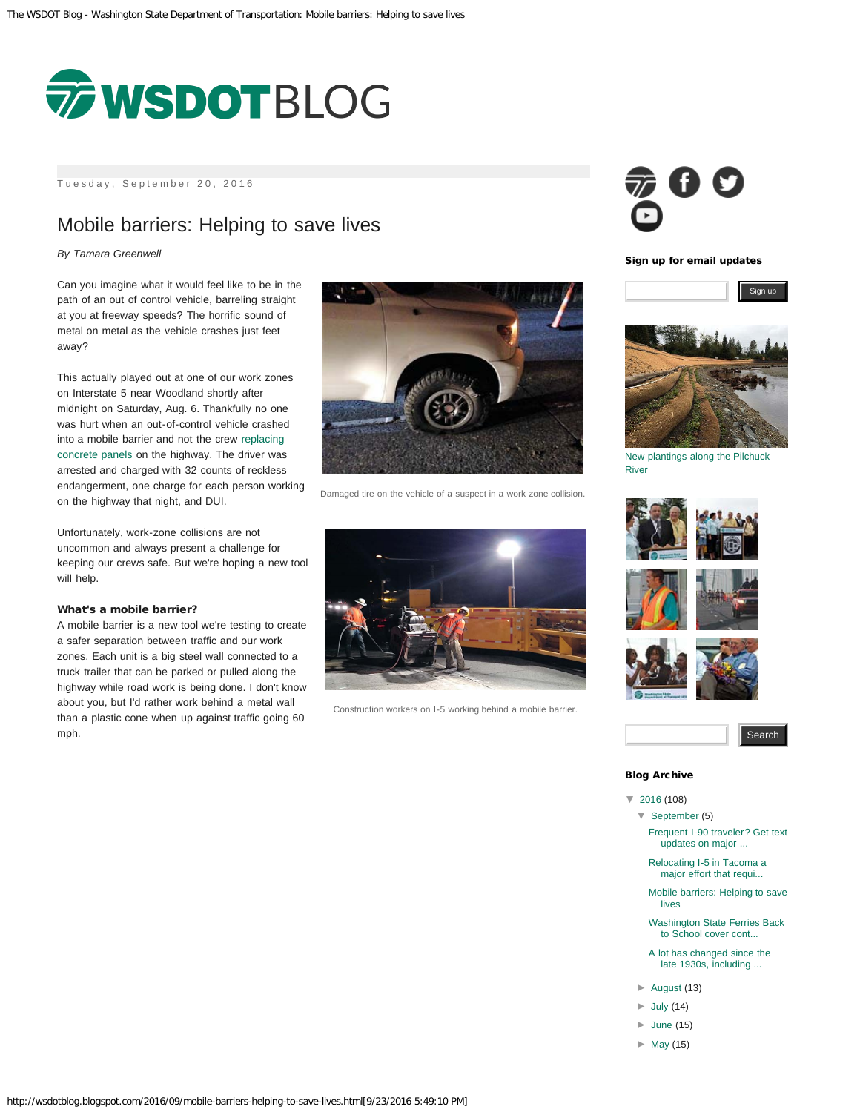<span id="page-0-0"></span>

Tuesday, September 20, 2016

## Mobile barriers: Helping to save lives

### *By Tamara Greenwell*

Can you imagine what it would feel like to be in the path of an out of control vehicle, barreling straight at you at freeway speeds? The horrific sound of metal on metal as the vehicle crashes just feet away?

This actually played out at one of our work zones on Interstate 5 near Woodland shortly after midnight on Saturday, Aug. 6. Thankfully no one was hurt when an out-of-control vehicle crashed into a mobile barrier and not the crew [replacing](http://www.wsdot.wa.gov/projects/i5/i205tonforklewisriverbridgepaving/) [concrete panels](http://www.wsdot.wa.gov/projects/i5/i205tonforklewisriverbridgepaving/) on the highway. The driver was arrested and charged with 32 counts of reckless endangerment, one charge for each person working on the highway that night, and DUI.

Unfortunately, work-zone collisions are not uncommon and always present a challenge for keeping our crews safe. But we're hoping a new tool will help.

#### What's a mobile barrier?

A mobile barrier is a new tool we're testing to create a safer separation between traffic and our work zones. Each unit is a big steel wall connected to a truck trailer that can be parked or pulled along the highway while road work is being done. I don't know about you, but I'd rather work behind a metal wall than a plastic cone when up against traffic going 60 mph.



Damaged tire on the vehicle of a suspect in a work zone collision.



Construction workers on I-5 working behind a mobile barrier.



Sign up for email updates



[New plantings along the Pilchuck](https://www.flickr.com/photos/wsdot/29098775774/) [River](https://www.flickr.com/photos/wsdot/29098775774/)













### Blog Archive

- [▼](javascript:void(0))  [2016 \(](http://wsdotblog.blogspot.com/search?updated-min=2016-01-01T00:00:00-08:00&updated-max=2017-01-01T00:00:00-08:00&max-results=50)108)
- [▼](javascript:void(0))  [September \(](http://wsdotblog.blogspot.com/2016_09_01_archive.html)5)

[Frequent I-90 traveler? Get text](http://wsdotblog.blogspot.com/2016/09/frequent-i-90-traveler-get-text-updates.html) [updates on major ...](http://wsdotblog.blogspot.com/2016/09/frequent-i-90-traveler-get-text-updates.html)

[Relocating I-5 in Tacoma a](http://wsdotblog.blogspot.com/2016/09/relocating-i-5-in-tacoma-major-effort.html) [major effort that requi...](http://wsdotblog.blogspot.com/2016/09/relocating-i-5-in-tacoma-major-effort.html)

[Mobile barriers: Helping to save](#page-0-0) [lives](#page-0-0)

- [Washington State Ferries Back](http://wsdotblog.blogspot.com/2016/09/washington-state-ferries-back-to-school.html) [to School cover cont...](http://wsdotblog.blogspot.com/2016/09/washington-state-ferries-back-to-school.html)
- [A lot has changed since the](http://wsdotblog.blogspot.com/2016/09/a-lot-has-changed-since-late-1930s.html) [late 1930s, including ...](http://wsdotblog.blogspot.com/2016/09/a-lot-has-changed-since-late-1930s.html)
- [►](javascript:void(0))  [August \(](http://wsdotblog.blogspot.com/2016_08_01_archive.html)13)
- $\blacktriangleright$  [July \(](http://wsdotblog.blogspot.com/2016_07_01_archive.html)14)
- [►](javascript:void(0))  [June](http://wsdotblog.blogspot.com/2016_06_01_archive.html) (15)
- [►](javascript:void(0))  [May \(](http://wsdotblog.blogspot.com/2016_05_01_archive.html)15)